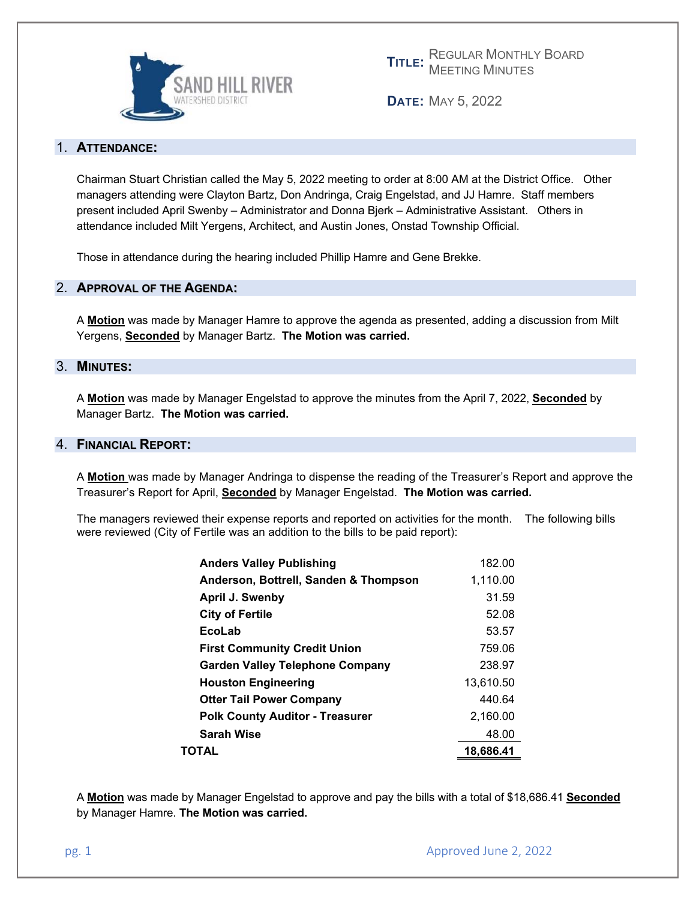

**TITLE:** REGULAR MONTHLY BOARD MEETING MINUTES

**DATE:** MAY 5, 2022

# 1. **ATTENDANCE:**

Chairman Stuart Christian called the May 5, 2022 meeting to order at 8:00 AM at the District Office. Other managers attending were Clayton Bartz, Don Andringa, Craig Engelstad, and JJ Hamre. Staff members present included April Swenby – Administrator and Donna Bjerk – Administrative Assistant. Others in attendance included Milt Yergens, Architect, and Austin Jones, Onstad Township Official.

Those in attendance during the hearing included Phillip Hamre and Gene Brekke.

# 2. **APPROVAL OF THE AGENDA:**

A **Motion** was made by Manager Hamre to approve the agenda as presented, adding a discussion from Milt Yergens, **Seconded** by Manager Bartz. **The Motion was carried.** 

## 3. **MINUTES:**

A **Motion** was made by Manager Engelstad to approve the minutes from the April 7, 2022, **Seconded** by Manager Bartz. **The Motion was carried.** 

## 4. **FINANCIAL REPORT:**

A **Motion** was made by Manager Andringa to dispense the reading of the Treasurer's Report and approve the Treasurer's Report for April, **Seconded** by Manager Engelstad. **The Motion was carried.** 

The managers reviewed their expense reports and reported on activities for the month. The following bills were reviewed (City of Fertile was an addition to the bills to be paid report):

| ΤΟΤΑL                                  | 18,686.41 |
|----------------------------------------|-----------|
| Sarah Wise                             | 48.00     |
| <b>Polk County Auditor - Treasurer</b> | 2,160.00  |
| <b>Otter Tail Power Company</b>        | 440.64    |
| <b>Houston Engineering</b>             | 13.610.50 |
| Garden Valley Telephone Company        | 238.97    |
| <b>First Community Credit Union</b>    | 759.06    |
| EcoLab                                 | 53.57     |
| <b>City of Fertile</b>                 | 52.08     |
| April J. Swenby                        | 31.59     |
| Anderson, Bottrell, Sanden & Thompson  | 1,110.00  |
| <b>Anders Valley Publishing</b>        | 182.00    |

A **Motion** was made by Manager Engelstad to approve and pay the bills with a total of \$18,686.41 **Seconded** by Manager Hamre. **The Motion was carried.**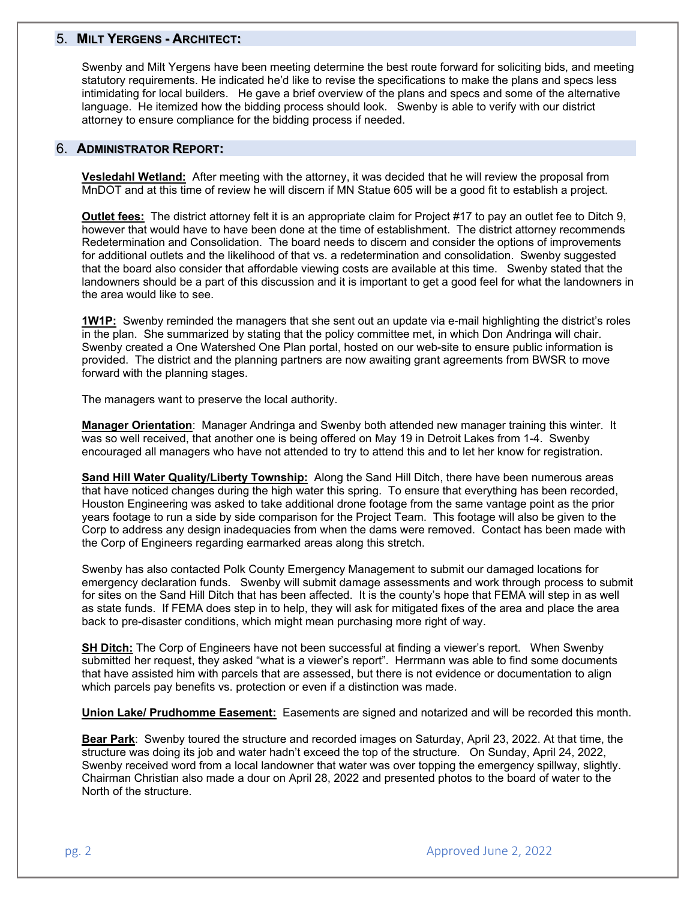# 5. **MILT YERGENS - ARCHITECT:**

Swenby and Milt Yergens have been meeting determine the best route forward for soliciting bids, and meeting statutory requirements. He indicated he'd like to revise the specifications to make the plans and specs less intimidating for local builders. He gave a brief overview of the plans and specs and some of the alternative language. He itemized how the bidding process should look. Swenby is able to verify with our district attorney to ensure compliance for the bidding process if needed.

### 6. **ADMINISTRATOR REPORT:**

**Vesledahl Wetland:** After meeting with the attorney, it was decided that he will review the proposal from MnDOT and at this time of review he will discern if MN Statue 605 will be a good fit to establish a project.

**Outlet fees:** The district attorney felt it is an appropriate claim for Project #17 to pay an outlet fee to Ditch 9, however that would have to have been done at the time of establishment. The district attorney recommends Redetermination and Consolidation. The board needs to discern and consider the options of improvements for additional outlets and the likelihood of that vs. a redetermination and consolidation. Swenby suggested that the board also consider that affordable viewing costs are available at this time. Swenby stated that the landowners should be a part of this discussion and it is important to get a good feel for what the landowners in the area would like to see.

**1W1P:** Swenby reminded the managers that she sent out an update via e-mail highlighting the district's roles in the plan. She summarized by stating that the policy committee met, in which Don Andringa will chair. Swenby created a One Watershed One Plan portal, hosted on our web-site to ensure public information is provided. The district and the planning partners are now awaiting grant agreements from BWSR to move forward with the planning stages.

The managers want to preserve the local authority.

**Manager Orientation**: Manager Andringa and Swenby both attended new manager training this winter. It was so well received, that another one is being offered on May 19 in Detroit Lakes from 1-4. Swenby encouraged all managers who have not attended to try to attend this and to let her know for registration.

**Sand Hill Water Quality/Liberty Township:** Along the Sand Hill Ditch, there have been numerous areas that have noticed changes during the high water this spring. To ensure that everything has been recorded, Houston Engineering was asked to take additional drone footage from the same vantage point as the prior years footage to run a side by side comparison for the Project Team. This footage will also be given to the Corp to address any design inadequacies from when the dams were removed. Contact has been made with the Corp of Engineers regarding earmarked areas along this stretch.

Swenby has also contacted Polk County Emergency Management to submit our damaged locations for emergency declaration funds. Swenby will submit damage assessments and work through process to submit for sites on the Sand Hill Ditch that has been affected. It is the county's hope that FEMA will step in as well as state funds. If FEMA does step in to help, they will ask for mitigated fixes of the area and place the area back to pre-disaster conditions, which might mean purchasing more right of way.

**SH Ditch:** The Corp of Engineers have not been successful at finding a viewer's report. When Swenby submitted her request, they asked "what is a viewer's report". Herrmann was able to find some documents that have assisted him with parcels that are assessed, but there is not evidence or documentation to align which parcels pay benefits vs. protection or even if a distinction was made.

**Union Lake/ Prudhomme Easement:** Easements are signed and notarized and will be recorded this month.

**Bear Park**: Swenby toured the structure and recorded images on Saturday, April 23, 2022. At that time, the structure was doing its job and water hadn't exceed the top of the structure. On Sunday, April 24, 2022, Swenby received word from a local landowner that water was over topping the emergency spillway, slightly. Chairman Christian also made a dour on April 28, 2022 and presented photos to the board of water to the North of the structure.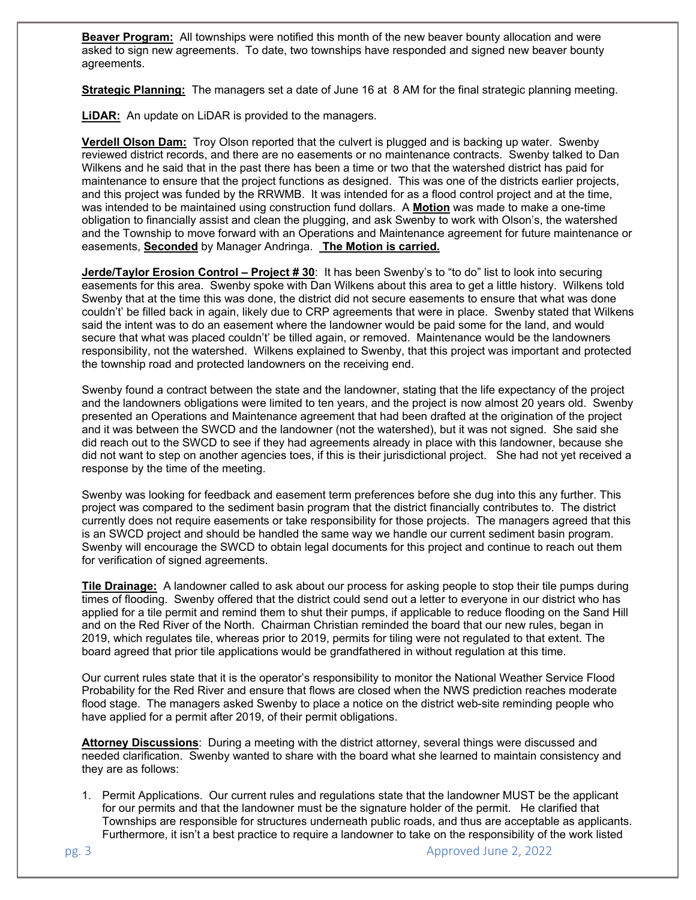**Beaver Program:** All townships were notified this month of the new beaver bounty allocation and were asked to sign new agreements. To date, two townships have responded and signed new beaver bounty agreements.

**Strategic Planning:** The managers set a date of June 16 at 8 AM for the final strategic planning meeting.

**LiDAR:** An update on LiDAR is provided to the managers.

**Verdell Olson Dam:** Troy Olson reported that the culvert is plugged and is backing up water. Swenby reviewed district records, and there are no easements or no maintenance contracts. Swenby talked to Dan Wilkens and he said that in the past there has been a time or two that the watershed district has paid for maintenance to ensure that the project functions as designed. This was one of the districts earlier projects, and this project was funded by the RRWMB. It was intended for as a flood control project and at the time, was intended to be maintained using construction fund dollars. A **Motion** was made to make a one-time obligation to financially assist and clean the plugging, and ask Swenby to work with Olson's, the watershed and the Township to move forward with an Operations and Maintenance agreement for future maintenance or easements, **Seconded** by Manager Andringa. **The Motion is carried.** 

**Jerde/Taylor Erosion Control – Project #30: It has been Swenby's to "to do" list to look into securing** easements for this area. Swenby spoke with Dan Wilkens about this area to get a little history. Wilkens told Swenby that at the time this was done, the district did not secure easements to ensure that what was done couldn't' be filled back in again, likely due to CRP agreements that were in place. Swenby stated that Wilkens said the intent was to do an easement where the landowner would be paid some for the land, and would secure that what was placed couldn't' be tilled again, or removed. Maintenance would be the landowners responsibility, not the watershed. Wilkens explained to Swenby, that this project was important and protected the township road and protected landowners on the receiving end.

Swenby found a contract between the state and the landowner, stating that the life expectancy of the project and the landowners obligations were limited to ten years, and the project is now almost 20 years old. Swenby presented an Operations and Maintenance agreement that had been drafted at the origination of the project and it was between the SWCD and the landowner (not the watershed), but it was not signed. She said she did reach out to the SWCD to see if they had agreements already in place with this landowner, because she did not want to step on another agencies toes, if this is their jurisdictional project. She had not yet received a response by the time of the meeting.

Swenby was looking for feedback and easement term preferences before she dug into this any further. This project was compared to the sediment basin program that the district financially contributes to. The district currently does not require easements or take responsibility for those projects. The managers agreed that this is an SWCD project and should be handled the same way we handle our current sediment basin program. Swenby will encourage the SWCD to obtain legal documents for this project and continue to reach out them for verification of signed agreements.

**Tile Drainage:** A landowner called to ask about our process for asking people to stop their tile pumps during times of flooding. Swenby offered that the district could send out a letter to everyone in our district who has applied for a tile permit and remind them to shut their pumps, if applicable to reduce flooding on the Sand Hill and on the Red River of the North. Chairman Christian reminded the board that our new rules, began in 2019, which regulates tile, whereas prior to 2019, permits for tiling were not regulated to that extent. The board agreed that prior tile applications would be grandfathered in without regulation at this time.

Our current rules state that it is the operator's responsibility to monitor the National Weather Service Flood Probability for the Red River and ensure that flows are closed when the NWS prediction reaches moderate flood stage. The managers asked Swenby to place a notice on the district web-site reminding people who have applied for a permit after 2019, of their permit obligations.

**Attorney Discussions**: During a meeting with the district attorney, several things were discussed and needed clarification. Swenby wanted to share with the board what she learned to maintain consistency and they are as follows:

1. Permit Applications. Our current rules and regulations state that the landowner MUST be the applicant for our permits and that the landowner must be the signature holder of the permit. He clarified that Townships are responsible for structures underneath public roads, and thus are acceptable as applicants. Furthermore, it isn't a best practice to require a landowner to take on the responsibility of the work listed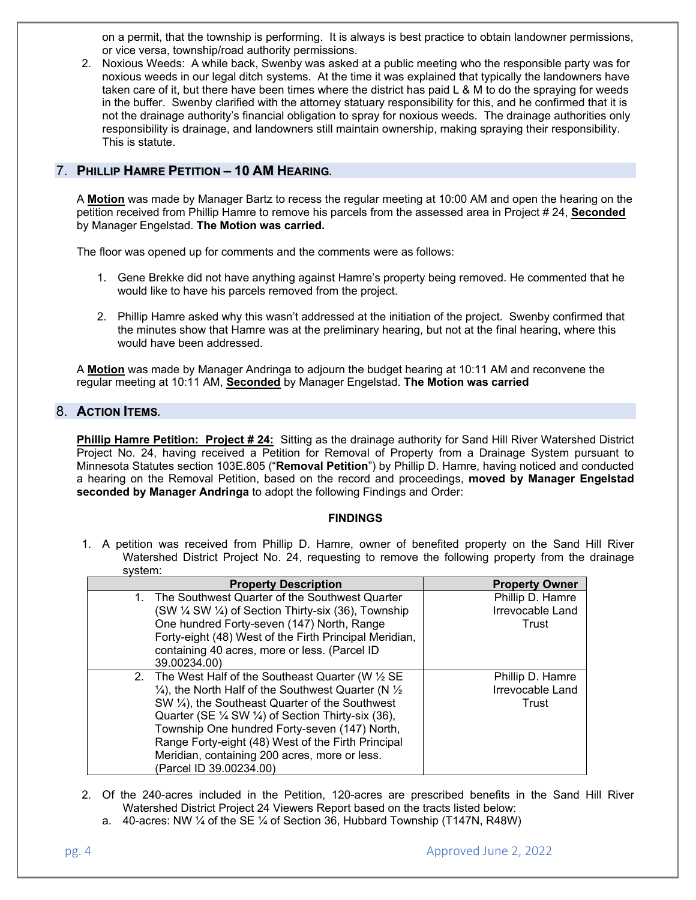on a permit, that the township is performing. It is always is best practice to obtain landowner permissions, or vice versa, township/road authority permissions.

2. Noxious Weeds: A while back, Swenby was asked at a public meeting who the responsible party was for noxious weeds in our legal ditch systems. At the time it was explained that typically the landowners have taken care of it, but there have been times where the district has paid L & M to do the spraying for weeds in the buffer. Swenby clarified with the attorney statuary responsibility for this, and he confirmed that it is not the drainage authority's financial obligation to spray for noxious weeds. The drainage authorities only responsibility is drainage, and landowners still maintain ownership, making spraying their responsibility. This is statute.

# 7. **PHILLIP HAMRE PETITION – 10 AM HEARING***.*

A **Motion** was made by Manager Bartz to recess the regular meeting at 10:00 AM and open the hearing on the petition received from Phillip Hamre to remove his parcels from the assessed area in Project # 24, **Seconded** by Manager Engelstad. **The Motion was carried.**

The floor was opened up for comments and the comments were as follows:

- 1. Gene Brekke did not have anything against Hamre's property being removed. He commented that he would like to have his parcels removed from the project.
- 2. Phillip Hamre asked why this wasn't addressed at the initiation of the project. Swenby confirmed that the minutes show that Hamre was at the preliminary hearing, but not at the final hearing, where this would have been addressed.

A **Motion** was made by Manager Andringa to adjourn the budget hearing at 10:11 AM and reconvene the regular meeting at 10:11 AM, **Seconded** by Manager Engelstad. **The Motion was carried**

# 8. **ACTION ITEMS***.*

**Phillip Hamre Petition: Project # 24:** Sitting as the drainage authority for Sand Hill River Watershed District Project No. 24, having received a Petition for Removal of Property from a Drainage System pursuant to Minnesota Statutes section 103E.805 ("**Removal Petition**") by Phillip D. Hamre, having noticed and conducted a hearing on the Removal Petition, based on the record and proceedings, **moved by Manager Engelstad seconded by Manager Andringa** to adopt the following Findings and Order:

#### **FINDINGS**

1. A petition was received from Phillip D. Hamre, owner of benefited property on the Sand Hill River Watershed District Project No. 24, requesting to remove the following property from the drainage system:

| <b>Property Description</b>                                                                                                                                                                                                                                                                                                                                                                                                                         | <b>Property Owner</b>                         |
|-----------------------------------------------------------------------------------------------------------------------------------------------------------------------------------------------------------------------------------------------------------------------------------------------------------------------------------------------------------------------------------------------------------------------------------------------------|-----------------------------------------------|
| 1. The Southwest Quarter of the Southwest Quarter<br>(SW ¼ SW ¼) of Section Thirty-six (36), Township<br>One hundred Forty-seven (147) North, Range<br>Forty-eight (48) West of the Firth Principal Meridian,<br>containing 40 acres, more or less. (Parcel ID<br>39.00234.00)                                                                                                                                                                      | Phillip D. Hamre<br>Irrevocable Land<br>Trust |
| 2. The West Half of the Southeast Quarter (W 1/2 SE<br>$\frac{1}{4}$ , the North Half of the Southwest Quarter (N $\frac{1}{2}$ )<br>SW 1/4), the Southeast Quarter of the Southwest<br>Quarter (SE $\frac{1}{4}$ SW $\frac{1}{4}$ ) of Section Thirty-six (36),<br>Township One hundred Forty-seven (147) North,<br>Range Forty-eight (48) West of the Firth Principal<br>Meridian, containing 200 acres, more or less.<br>(Parcel ID 39.00234.00) | Phillip D. Hamre<br>Irrevocable Land<br>Trust |

- 2. Of the 240-acres included in the Petition, 120-acres are prescribed benefits in the Sand Hill River Watershed District Project 24 Viewers Report based on the tracts listed below:
	- a.  $40$ -acres: NW  $\frac{1}{4}$  of the SE  $\frac{1}{4}$  of Section 36, Hubbard Township (T147N, R48W)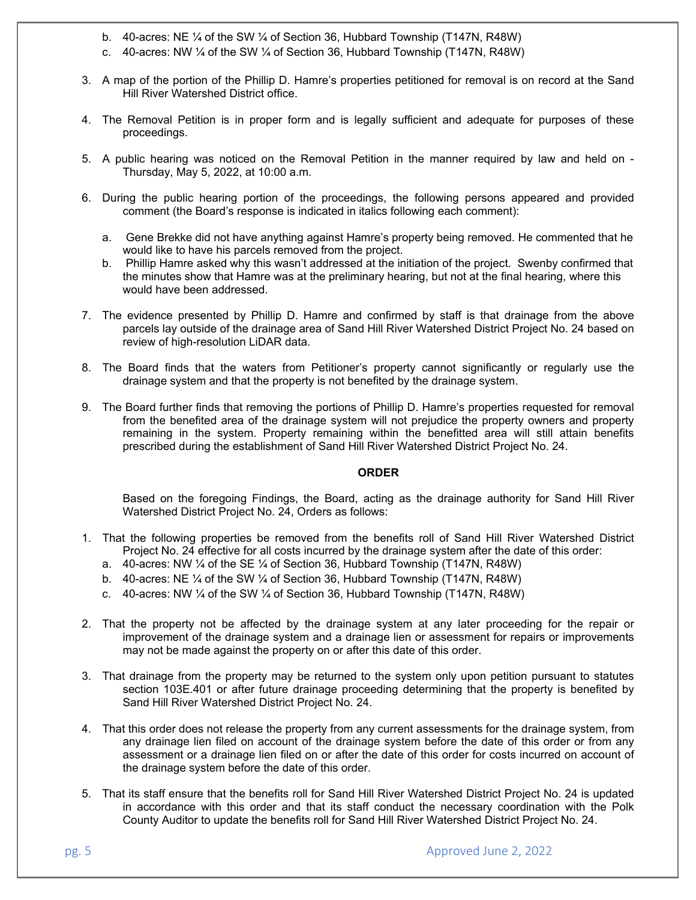- b. 40-acres: NE ¼ of the SW ¼ of Section 36, Hubbard Township (T147N, R48W)
- c. 40-acres: NW ¼ of the SW ¼ of Section 36, Hubbard Township (T147N, R48W)
- 3. A map of the portion of the Phillip D. Hamre's properties petitioned for removal is on record at the Sand Hill River Watershed District office.
- 4. The Removal Petition is in proper form and is legally sufficient and adequate for purposes of these proceedings.
- 5. A public hearing was noticed on the Removal Petition in the manner required by law and held on Thursday, May 5, 2022, at 10:00 a.m.
- 6. During the public hearing portion of the proceedings, the following persons appeared and provided comment (the Board's response is indicated in italics following each comment):
	- a. Gene Brekke did not have anything against Hamre's property being removed. He commented that he would like to have his parcels removed from the project.
	- b. Phillip Hamre asked why this wasn't addressed at the initiation of the project. Swenby confirmed that the minutes show that Hamre was at the preliminary hearing, but not at the final hearing, where this would have been addressed.
- 7. The evidence presented by Phillip D. Hamre and confirmed by staff is that drainage from the above parcels lay outside of the drainage area of Sand Hill River Watershed District Project No. 24 based on review of high-resolution LiDAR data.
- 8. The Board finds that the waters from Petitioner's property cannot significantly or regularly use the drainage system and that the property is not benefited by the drainage system.
- 9. The Board further finds that removing the portions of Phillip D. Hamre's properties requested for removal from the benefited area of the drainage system will not prejudice the property owners and property remaining in the system. Property remaining within the benefitted area will still attain benefits prescribed during the establishment of Sand Hill River Watershed District Project No. 24.

#### **ORDER**

Based on the foregoing Findings, the Board, acting as the drainage authority for Sand Hill River Watershed District Project No. 24, Orders as follows:

- 1. That the following properties be removed from the benefits roll of Sand Hill River Watershed District Project No. 24 effective for all costs incurred by the drainage system after the date of this order:
	- a. 40-acres: NW ¼ of the SE ¼ of Section 36, Hubbard Township (T147N, R48W)
	- b. 40-acres: NE  $\frac{1}{4}$  of the SW  $\frac{1}{4}$  of Section 36, Hubbard Township (T147N, R48W)
	- c. 40-acres: NW  $\frac{1}{4}$  of the SW  $\frac{1}{4}$  of Section 36, Hubbard Township (T147N, R48W)
- 2. That the property not be affected by the drainage system at any later proceeding for the repair or improvement of the drainage system and a drainage lien or assessment for repairs or improvements may not be made against the property on or after this date of this order.
- 3. That drainage from the property may be returned to the system only upon petition pursuant to statutes section 103E.401 or after future drainage proceeding determining that the property is benefited by Sand Hill River Watershed District Project No. 24.
- 4. That this order does not release the property from any current assessments for the drainage system, from any drainage lien filed on account of the drainage system before the date of this order or from any assessment or a drainage lien filed on or after the date of this order for costs incurred on account of the drainage system before the date of this order.
- 5. That its staff ensure that the benefits roll for Sand Hill River Watershed District Project No. 24 is updated in accordance with this order and that its staff conduct the necessary coordination with the Polk County Auditor to update the benefits roll for Sand Hill River Watershed District Project No. 24.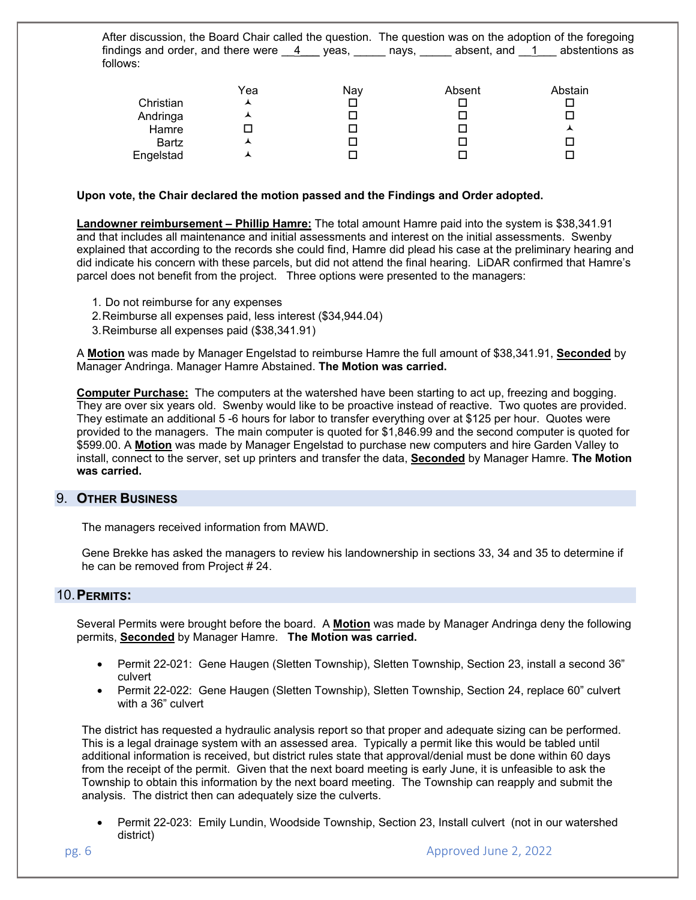After discussion, the Board Chair called the question. The question was on the adoption of the foregoing findings and order, and there were  $\frac{4}{1}$  yeas, equality examples and  $\frac{1}{1}$  abstentions as follows:

| Christian<br>Andringa<br>Hamre | Yea<br>ᆺ<br>ᄉ | Nay<br>- 1<br>- 1 | Absent | Abstain<br>ᄉ |
|--------------------------------|---------------|-------------------|--------|--------------|
| <b>Bartz</b>                   | ᄉ             | ┚                 |        |              |
| Engelstad                      | ᄉ             |                   |        |              |

### **Upon vote, the Chair declared the motion passed and the Findings and Order adopted.**

**Landowner reimbursement – Phillip Hamre:** The total amount Hamre paid into the system is \$38,341.91 and that includes all maintenance and initial assessments and interest on the initial assessments. Swenby explained that according to the records she could find, Hamre did plead his case at the preliminary hearing and did indicate his concern with these parcels, but did not attend the final hearing. LiDAR confirmed that Hamre's parcel does not benefit from the project. Three options were presented to the managers:

- 1. Do not reimburse for any expenses
- 2. Reimburse all expenses paid, less interest (\$34,944.04)
- 3. Reimburse all expenses paid (\$38,341.91)

A **Motion** was made by Manager Engelstad to reimburse Hamre the full amount of \$38,341.91, **Seconded** by Manager Andringa. Manager Hamre Abstained. **The Motion was carried.** 

**Computer Purchase:** The computers at the watershed have been starting to act up, freezing and bogging. They are over six years old. Swenby would like to be proactive instead of reactive. Two quotes are provided. They estimate an additional 5 -6 hours for labor to transfer everything over at \$125 per hour. Quotes were provided to the managers. The main computer is quoted for \$1,846.99 and the second computer is quoted for \$599.00. A **Motion** was made by Manager Engelstad to purchase new computers and hire Garden Valley to install, connect to the server, set up printers and transfer the data, **Seconded** by Manager Hamre. **The Motion was carried.**

## 9. **OTHER BUSINESS**

The managers received information from MAWD.

Gene Brekke has asked the managers to review his landownership in sections 33, 34 and 35 to determine if he can be removed from Project # 24.

## 10. **PERMITS:**

Several Permits were brought before the board. A **Motion** was made by Manager Andringa deny the following permits, **Seconded** by Manager Hamre. **The Motion was carried.** 

- Permit 22-021: Gene Haugen (Sletten Township), Sletten Township, Section 23, install a second 36" culvert
- Permit 22-022: Gene Haugen (Sletten Township), Sletten Township, Section 24, replace 60" culvert with a 36" culvert

The district has requested a hydraulic analysis report so that proper and adequate sizing can be performed. This is a legal drainage system with an assessed area. Typically a permit like this would be tabled until additional information is received, but district rules state that approval/denial must be done within 60 days from the receipt of the permit. Given that the next board meeting is early June, it is unfeasible to ask the Township to obtain this information by the next board meeting. The Township can reapply and submit the analysis. The district then can adequately size the culverts.

• Permit 22-023: Emily Lundin, Woodside Township, Section 23, Install culvert (not in our watershed district)